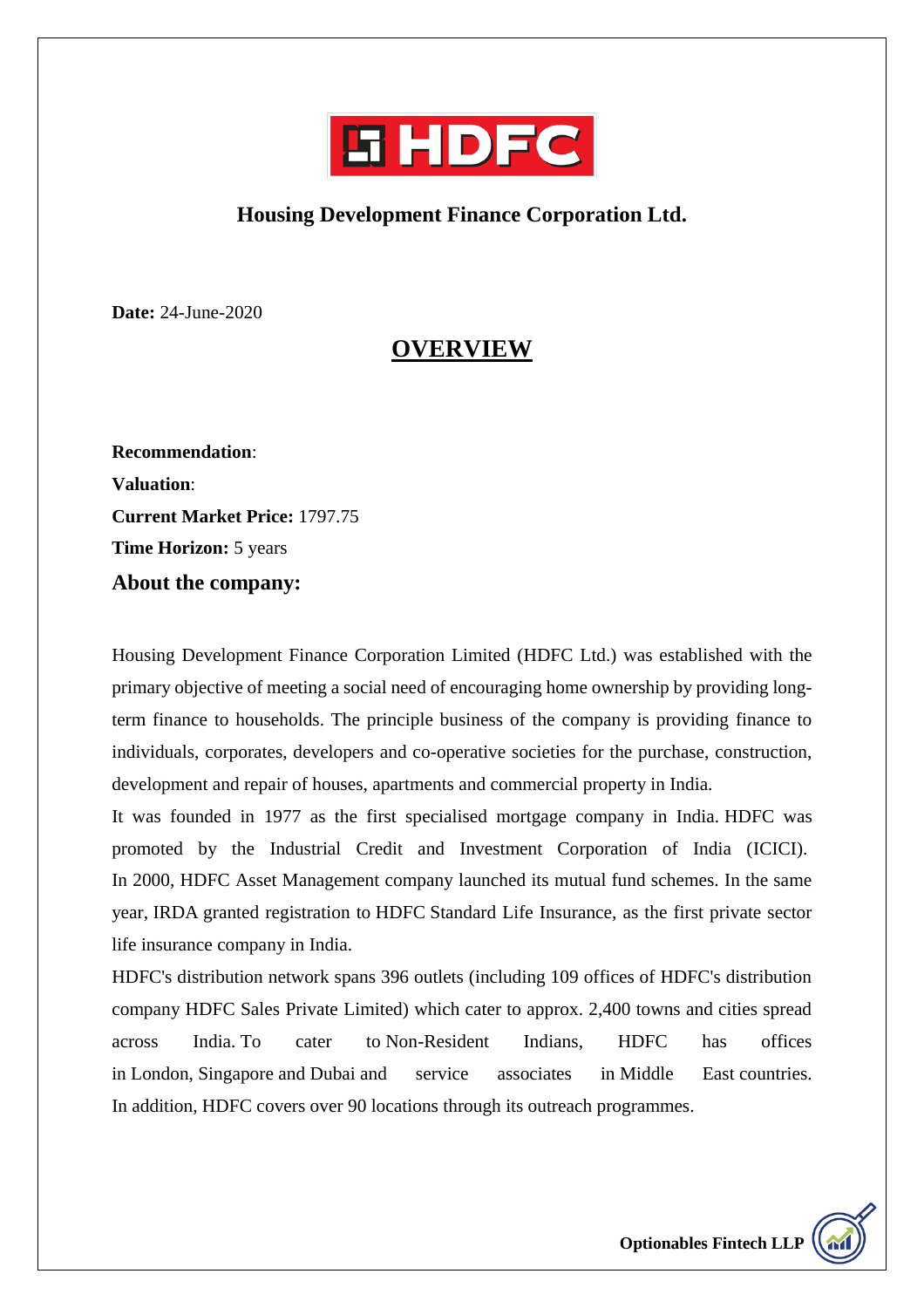

#### **Housing Development Finance Corporation Ltd.**

**Date:** 24-June-2020

### **OVERVIEW**

**Recommendation**: **Valuation**: **Current Market Price:** 1797.75 **Time Horizon:** 5 years **About the company:**

Housing Development Finance Corporation Limited (HDFC Ltd.) was established with the primary objective of meeting a social need of encouraging home ownership by providing longterm finance to households. The principle business of the company is providing finance to individuals, corporates, developers and co-operative societies for the purchase, construction, development and repair of houses, apartments and commercial property in India.

It was founded in 1977 as the first specialised mortgage company in India. HDFC was promoted by the Industrial Credit and Investment Corporation of India [\(ICICI\)](https://en.wikipedia.org/wiki/ICICI_Bank). In 2000, HDFC Asset Management company launched its mutual fund schemes. In the same year, [IRDA](https://en.wikipedia.org/wiki/Insurance_Regulatory_and_Development_Authority) granted registration to [HDFC](https://en.wikipedia.org/w/index.php?title=Www.tollfreecustomercare.com&action=edit&redlink=1) Standard Life Insurance, as the first private sector life insurance company in India.

HDFC's distribution network spans 396 outlets (including 109 offices of HDFC's distribution company HDFC Sales Private Limited) which cater to approx. 2,400 towns and cities spread across India. To cater to [Non-Resident Indians,](https://en.wikipedia.org/wiki/Non-resident_Indian_and_person_of_Indian_origin) HDFC has offices in [London,](https://en.wikipedia.org/wiki/London) [Singapore](https://en.wikipedia.org/wiki/Singapore) and [Dubai](https://en.wikipedia.org/wiki/Dubai) and service associates in [Middle East](https://en.wikipedia.org/wiki/Middle_East) countries. In addition, HDFC covers over 90 locations through its outreach programmes.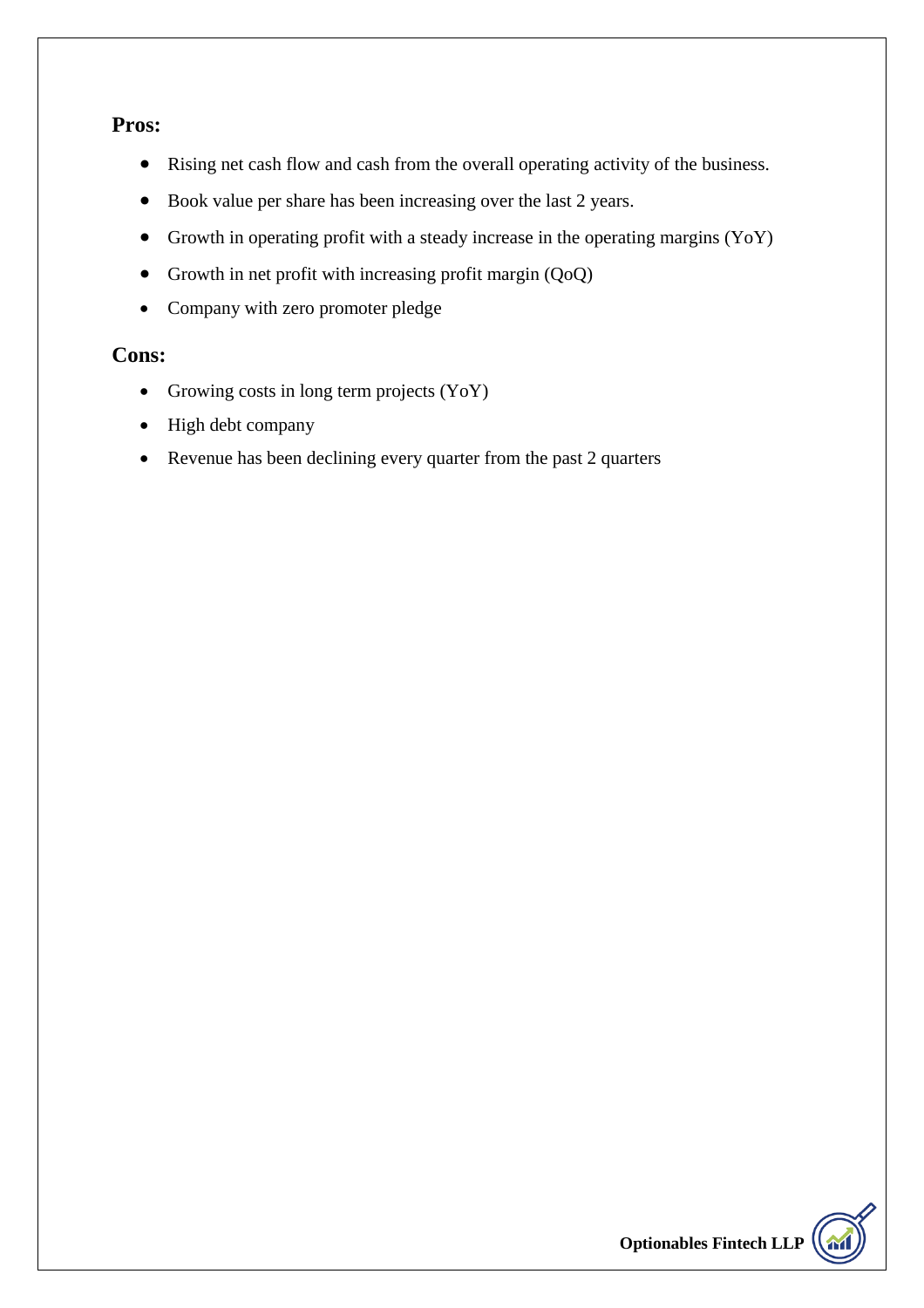#### **Pros:**

- Rising net cash flow and cash from the overall operating activity of the business.
- Book value per share has been increasing over the last 2 years.
- Growth in operating profit with a steady increase in the operating margins (YoY)
- Growth in net profit with increasing profit margin (QoQ)
- Company with zero promoter pledge

#### **Cons:**

- Growing costs in long term projects (YoY)
- High debt company
- Revenue has been declining every quarter from the past 2 quarters

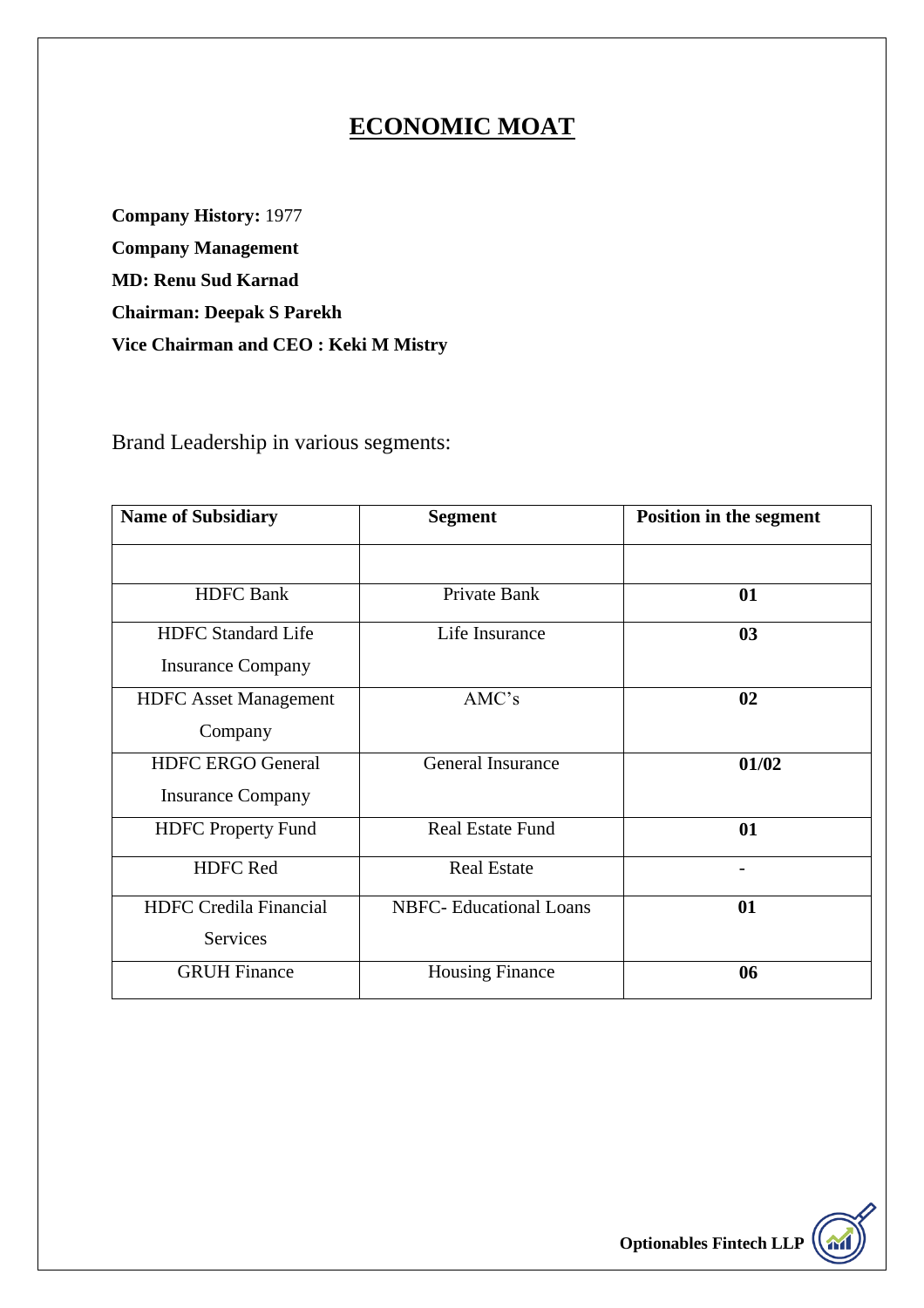# **ECONOMIC MOAT**

**Company History:** 1977 **Company Management MD: Renu Sud Karnad Chairman: Deepak S Parekh Vice Chairman and CEO : Keki M Mistry**

Brand Leadership in various segments:

| <b>Name of Subsidiary</b>     | <b>Segment</b>                 | <b>Position in the segment</b> |  |
|-------------------------------|--------------------------------|--------------------------------|--|
|                               |                                |                                |  |
| <b>HDFC</b> Bank              | Private Bank                   | 01                             |  |
| <b>HDFC</b> Standard Life     | Life Insurance                 | 03                             |  |
| <b>Insurance Company</b>      |                                |                                |  |
| <b>HDFC</b> Asset Management  | AMC's                          | 02                             |  |
| Company                       |                                |                                |  |
| <b>HDFC ERGO General</b>      | <b>General Insurance</b>       | 01/02                          |  |
| <b>Insurance Company</b>      |                                |                                |  |
| <b>HDFC</b> Property Fund     | <b>Real Estate Fund</b>        | 01                             |  |
| <b>HDFC</b> Red               | <b>Real Estate</b>             |                                |  |
| <b>HDFC</b> Credila Financial | <b>NBFC-</b> Educational Loans | 01                             |  |
| Services                      |                                |                                |  |
| <b>GRUH Finance</b>           | <b>Housing Finance</b>         | 06                             |  |

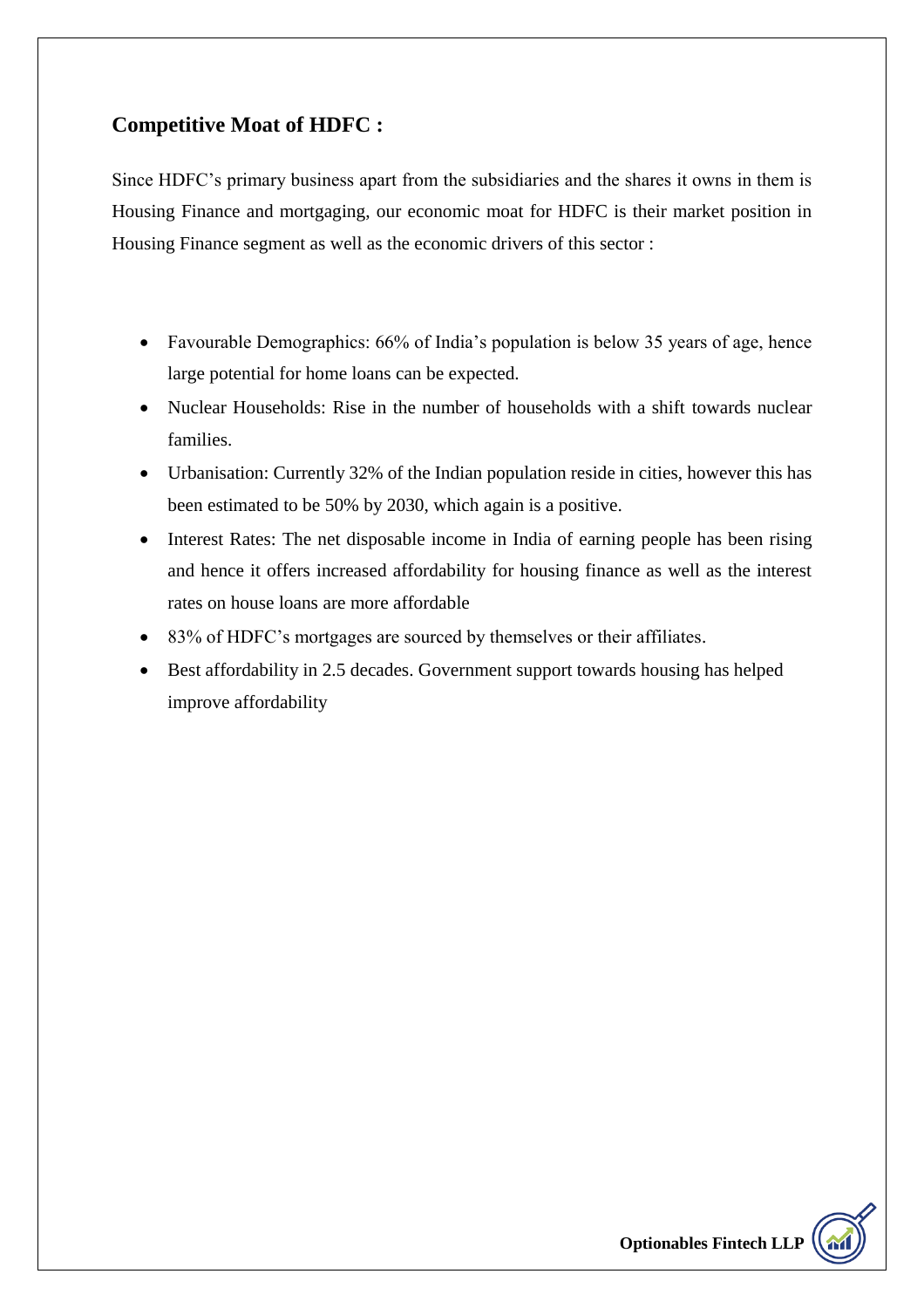#### **Competitive Moat of HDFC :**

Since HDFC's primary business apart from the subsidiaries and the shares it owns in them is Housing Finance and mortgaging, our economic moat for HDFC is their market position in Housing Finance segment as well as the economic drivers of this sector :

- Favourable Demographics: 66% of India's population is below 35 years of age, hence large potential for home loans can be expected.
- Nuclear Households: Rise in the number of households with a shift towards nuclear families.
- Urbanisation: Currently 32% of the Indian population reside in cities, however this has been estimated to be 50% by 2030, which again is a positive.
- Interest Rates: The net disposable income in India of earning people has been rising and hence it offers increased affordability for housing finance as well as the interest rates on house loans are more affordable
- 83% of HDFC's mortgages are sourced by themselves or their affiliates.
- Best affordability in 2.5 decades. Government support towards housing has helped improve affordability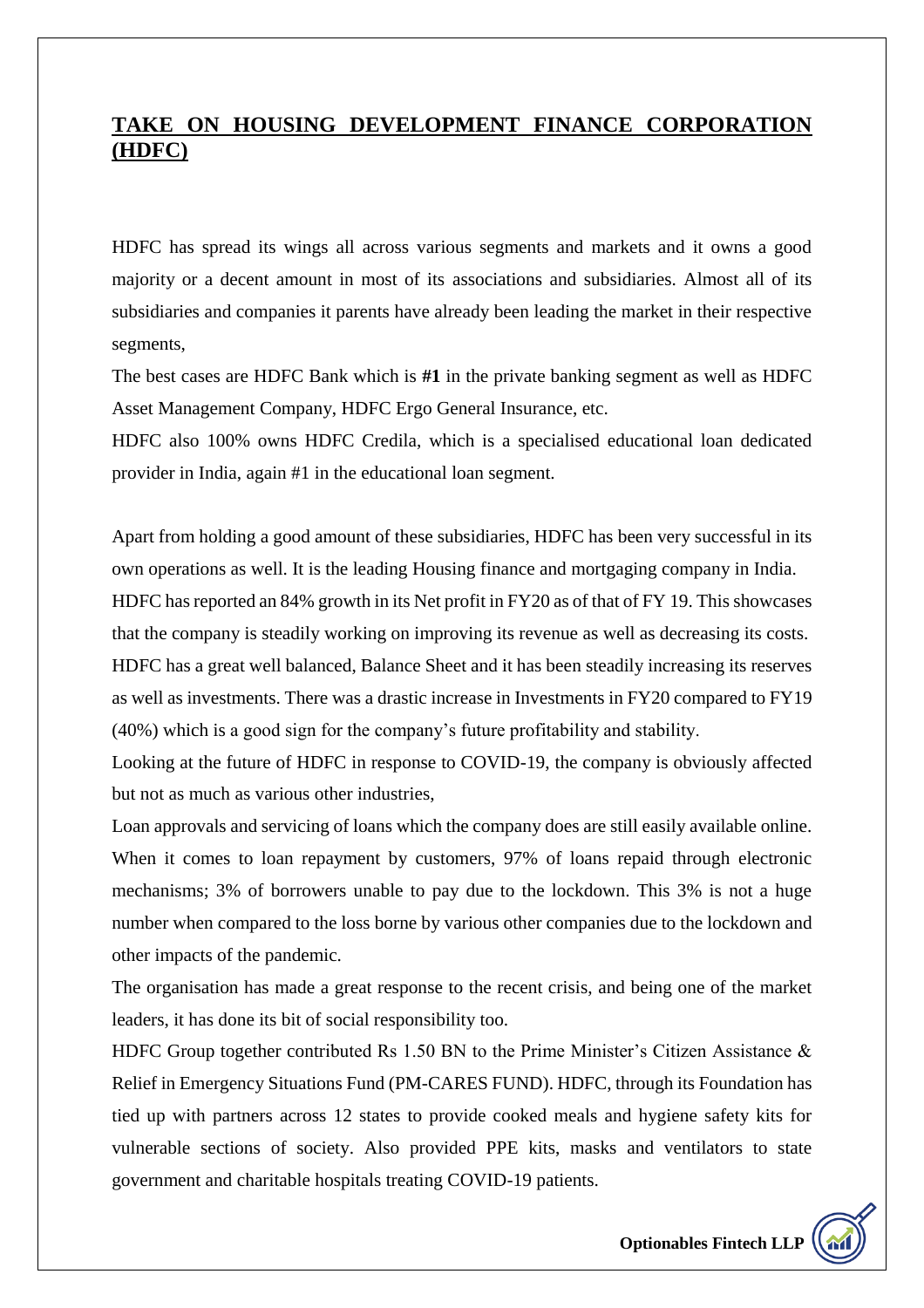### **TAKE ON HOUSING DEVELOPMENT FINANCE CORPORATION (HDFC)**

HDFC has spread its wings all across various segments and markets and it owns a good majority or a decent amount in most of its associations and subsidiaries. Almost all of its subsidiaries and companies it parents have already been leading the market in their respective segments,

The best cases are HDFC Bank which is **#1** in the private banking segment as well as HDFC Asset Management Company, HDFC Ergo General Insurance, etc.

HDFC also 100% owns HDFC Credila, which is a specialised educational loan dedicated provider in India, again #1 in the educational loan segment.

Apart from holding a good amount of these subsidiaries, HDFC has been very successful in its own operations as well. It is the leading Housing finance and mortgaging company in India. HDFC has reported an 84% growth in its Net profit in FY20 as of that of FY 19. This showcases that the company is steadily working on improving its revenue as well as decreasing its costs. HDFC has a great well balanced, Balance Sheet and it has been steadily increasing its reserves as well as investments. There was a drastic increase in Investments in FY20 compared to FY19 (40%) which is a good sign for the company's future profitability and stability.

Looking at the future of HDFC in response to COVID-19, the company is obviously affected but not as much as various other industries,

Loan approvals and servicing of loans which the company does are still easily available online. When it comes to loan repayment by customers, 97% of loans repaid through electronic mechanisms; 3% of borrowers unable to pay due to the lockdown. This 3% is not a huge number when compared to the loss borne by various other companies due to the lockdown and other impacts of the pandemic.

The organisation has made a great response to the recent crisis, and being one of the market leaders, it has done its bit of social responsibility too.

HDFC Group together contributed Rs 1.50 BN to the Prime Minister's Citizen Assistance & Relief in Emergency Situations Fund (PM-CARES FUND). HDFC, through its Foundation has tied up with partners across 12 states to provide cooked meals and hygiene safety kits for vulnerable sections of society. Also provided PPE kits, masks and ventilators to state government and charitable hospitals treating COVID-19 patients.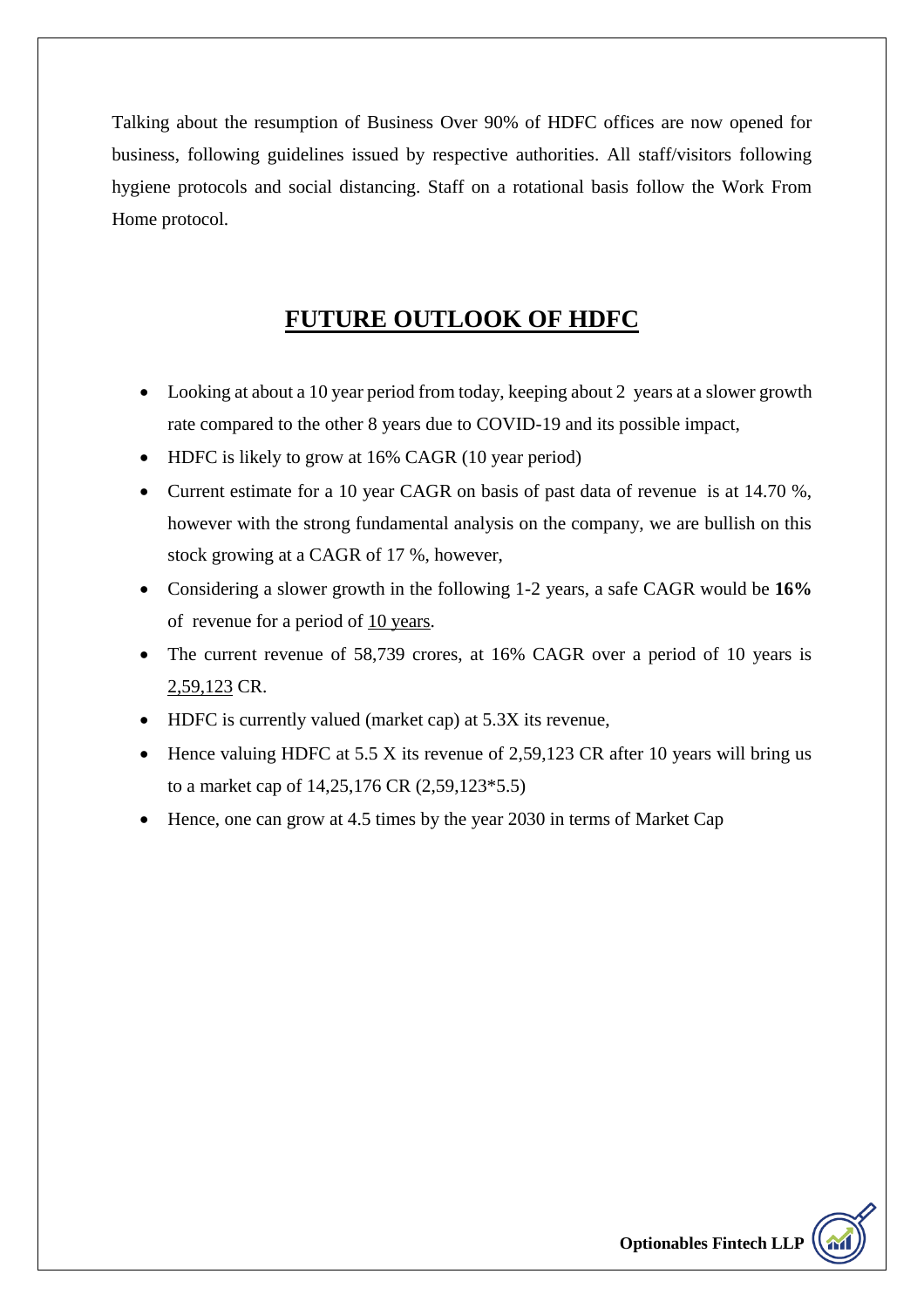Talking about the resumption of Business Over 90% of HDFC offices are now opened for business, following guidelines issued by respective authorities. All staff/visitors following hygiene protocols and social distancing. Staff on a rotational basis follow the Work From Home protocol.

### **FUTURE OUTLOOK OF HDFC**

- Looking at about a 10 year period from today, keeping about 2 years at a slower growth rate compared to the other 8 years due to COVID-19 and its possible impact,
- HDFC is likely to grow at 16% CAGR (10 year period)
- Current estimate for a 10 year CAGR on basis of past data of revenue is at 14.70 %, however with the strong fundamental analysis on the company, we are bullish on this stock growing at a CAGR of 17 %, however,
- Considering a slower growth in the following 1-2 years, a safe CAGR would be **16%** of revenue for a period of 10 years.
- The current revenue of 58,739 crores, at 16% CAGR over a period of 10 years is 2,59,123 CR.
- HDFC is currently valued (market cap) at 5.3X its revenue,
- $\bullet$  Hence valuing HDFC at 5.5 X its revenue of 2,59,123 CR after 10 years will bring us to a market cap of 14,25,176 CR (2,59,123\*5.5)
- Hence, one can grow at 4.5 times by the year 2030 in terms of Market Cap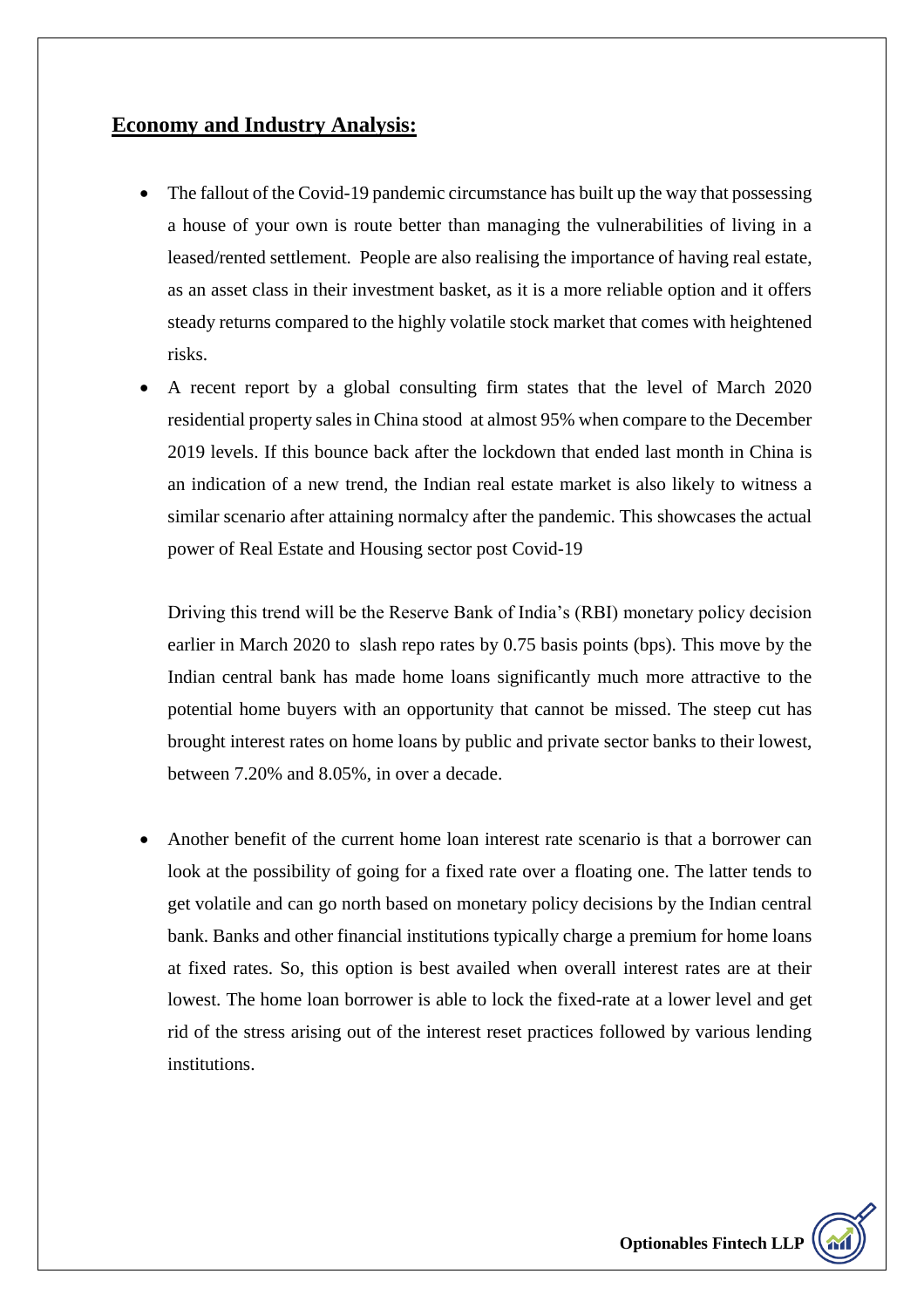### **Economy and Industry Analysis:**

- The fallout of the Covid-19 pandemic circumstance has built up the way that possessing a house of your own is route better than managing the vulnerabilities of living in a leased/rented settlement. People are also realising the importance of having real estate, as an asset class in their investment basket, as it is a more reliable option and it offers steady returns compared to the highly volatile stock market that comes with heightened risks.
- A recent report by a global consulting firm states that the level of March 2020 residential property sales in China stood at almost 95% when compare to the December 2019 levels. If this bounce back after the lockdown that ended last month in China is an indication of a new trend, the Indian real estate market is also likely to witness a similar scenario after attaining normalcy after the pandemic. This showcases the actual power of Real Estate and Housing sector post Covid-19

Driving this trend will be the Reserve Bank of India's (RBI) monetary policy decision earlier in March 2020 to slash repo rates by 0.75 basis points (bps). This move by the Indian central bank has made home loans significantly much more attractive to the potential home buyers with an opportunity that cannot be missed. The steep cut has brought interest rates on home loans by public and private sector banks to their lowest, between 7.20% and 8.05%, in over a decade.

 Another benefit of the current home loan interest rate scenario is that a borrower can look at the possibility of going for a fixed rate over a floating one. The latter tends to get volatile and can go north based on monetary policy decisions by the Indian central bank. Banks and other financial institutions typically charge a premium for home loans at fixed rates. So, this option is best availed when overall interest rates are at their lowest. The home loan borrower is able to lock the fixed-rate at a lower level and get rid of the stress arising out of the interest reset practices followed by various lending institutions.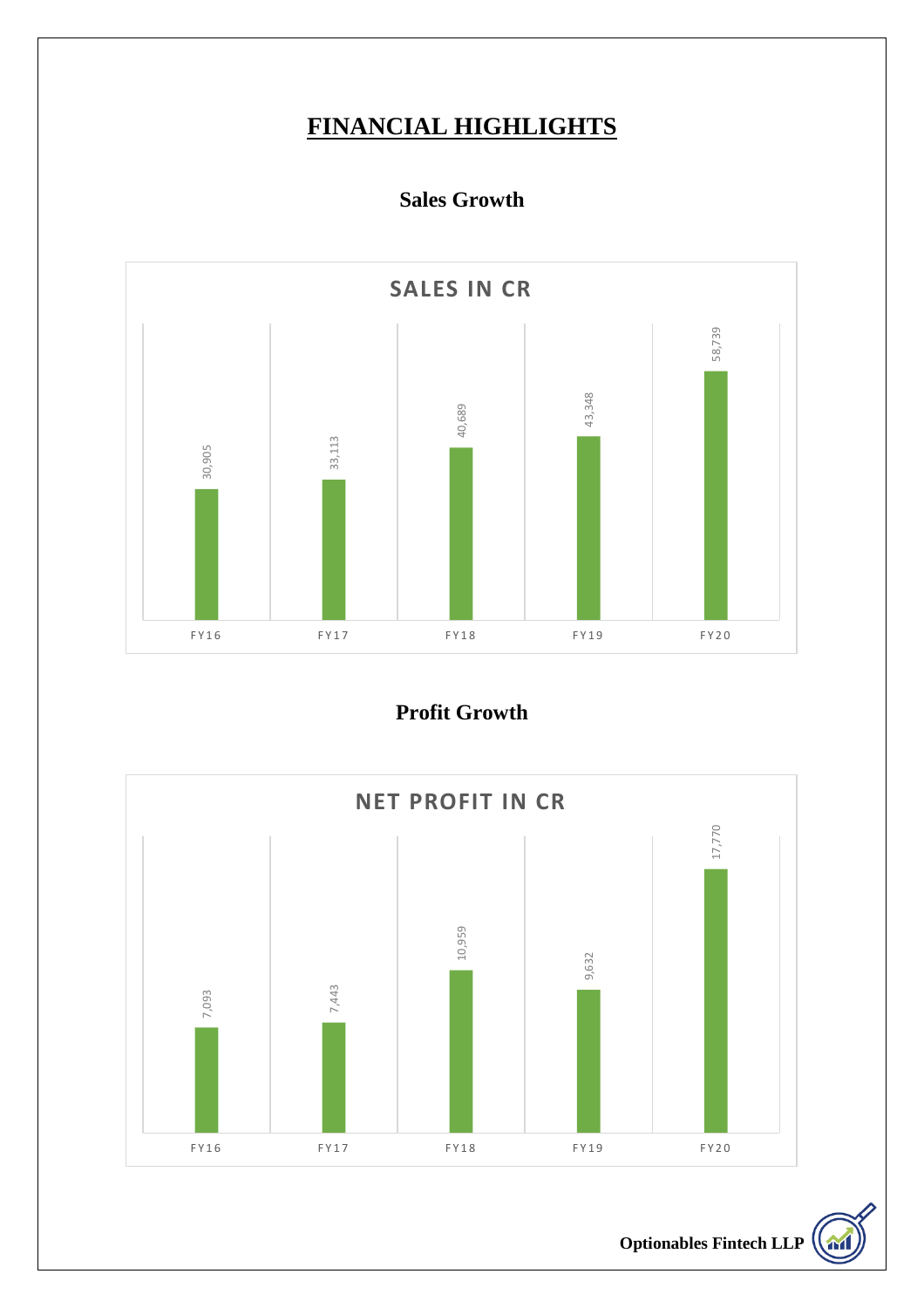# **FINANCIAL HIGHLIGHTS**

### **Sales Growth**



**Profit Growth** 

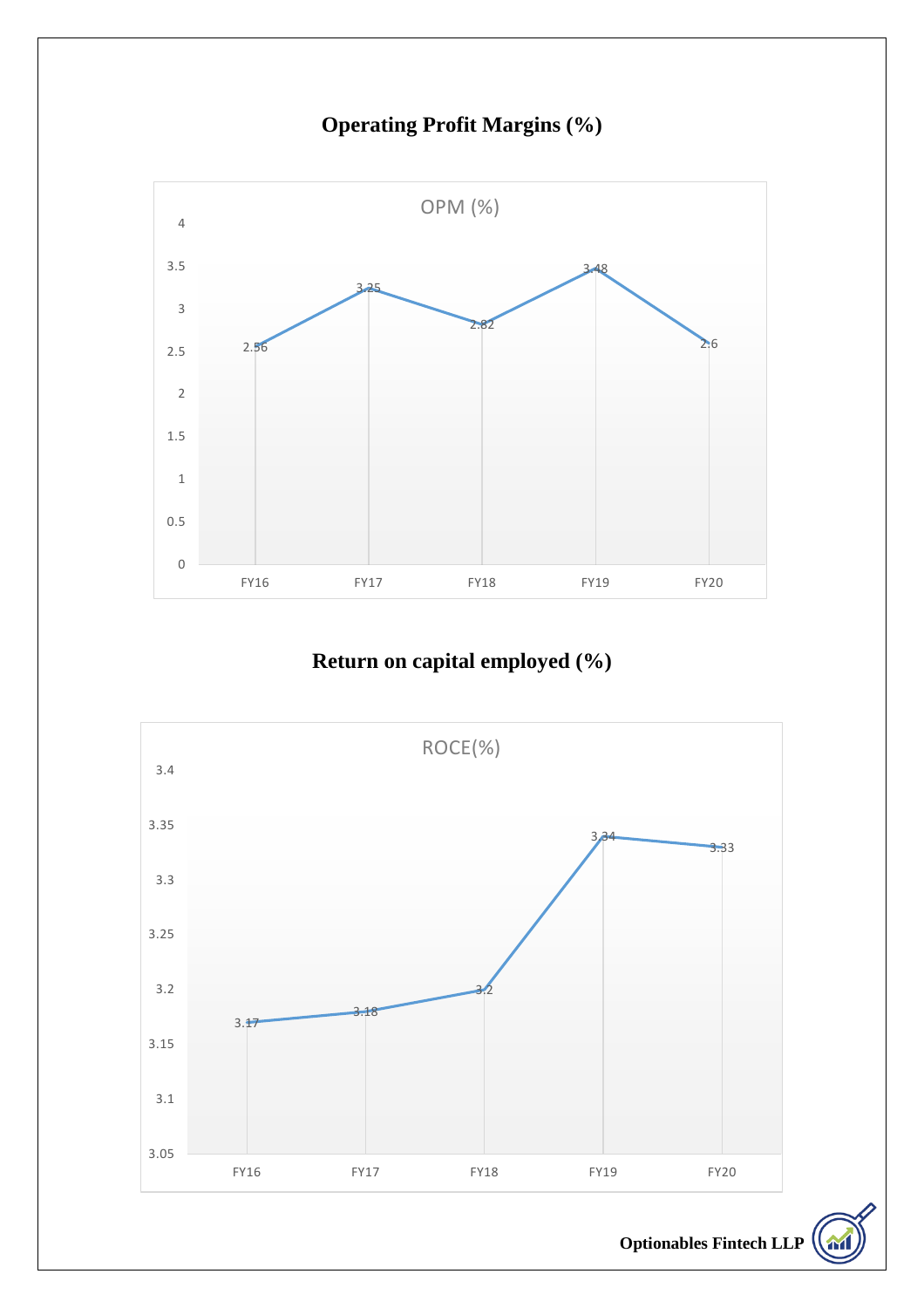**Operating Profit Margins (%)**



## **Return on capital employed (%)**

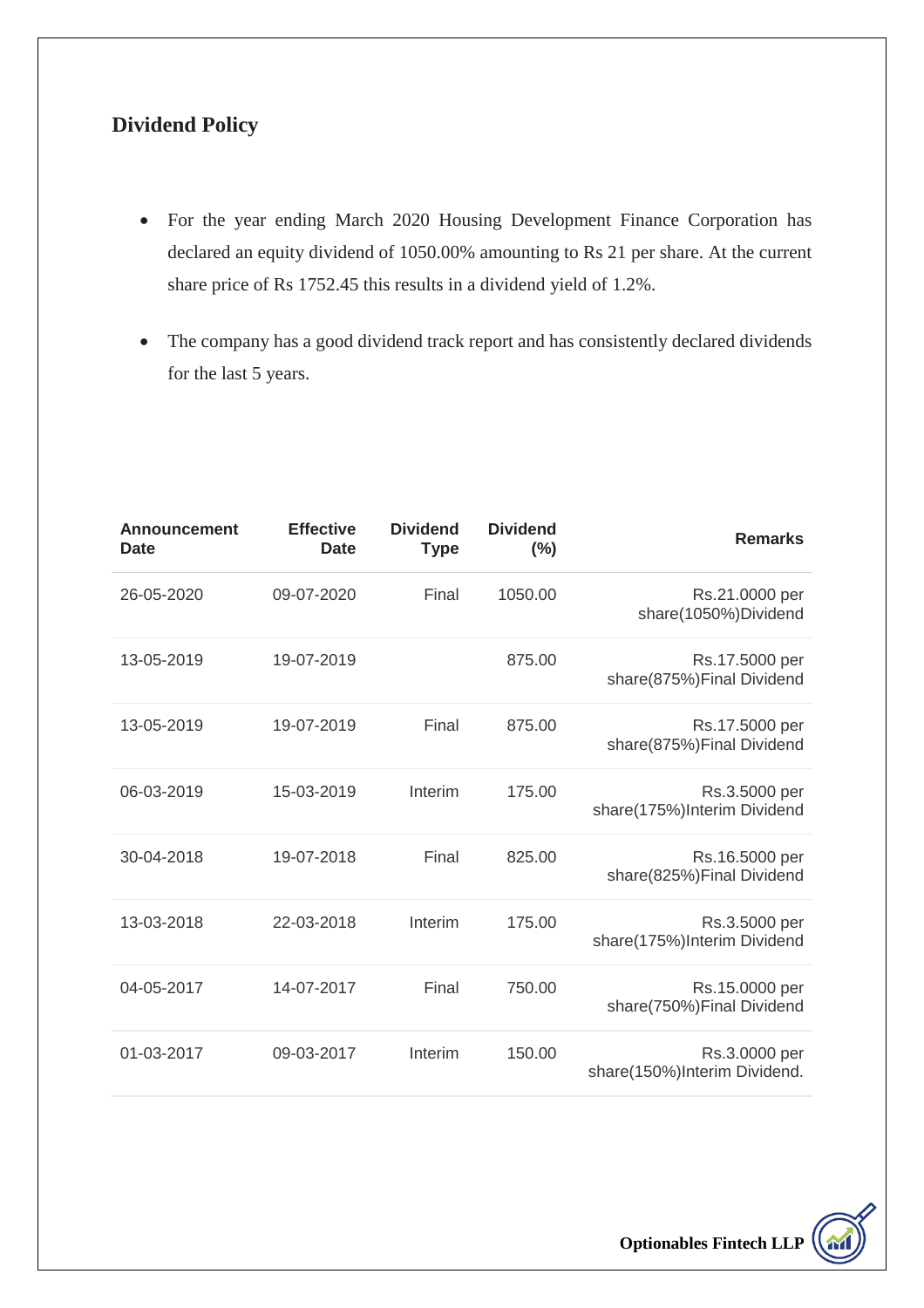#### **Dividend Policy**

- For the year ending March 2020 Housing Development Finance Corporation has declared an equity dividend of 1050.00% amounting to Rs 21 per share. At the current share price of Rs 1752.45 this results in a dividend yield of 1.2%.
- The company has a good dividend track report and has consistently declared dividends for the last 5 years.

| <b>Remarks</b>                                | <b>Dividend</b><br>$(\% )$ | <b>Dividend</b><br><b>Type</b> | <b>Effective</b><br><b>Date</b> | <b>Announcement</b><br><b>Date</b> |
|-----------------------------------------------|----------------------------|--------------------------------|---------------------------------|------------------------------------|
| Rs.21.0000 per<br>share(1050%)Dividend        | 1050.00                    | Final                          | 09-07-2020                      | 26-05-2020                         |
| Rs.17.5000 per<br>share(875%)Final Dividend   | 875.00                     |                                | 19-07-2019                      | 13-05-2019                         |
| Rs.17.5000 per<br>share(875%)Final Dividend   | 875.00                     | Final                          | 19-07-2019                      | 13-05-2019                         |
| Rs.3.5000 per<br>share(175%)Interim Dividend  | 175.00                     | Interim                        | 15-03-2019                      | 06-03-2019                         |
| Rs.16.5000 per<br>share(825%)Final Dividend   | 825.00                     | Final                          | 19-07-2018                      | 30-04-2018                         |
| Rs.3.5000 per<br>share(175%)Interim Dividend  | 175.00                     | Interim                        | 22-03-2018                      | 13-03-2018                         |
| Rs.15.0000 per<br>share(750%)Final Dividend   | 750.00                     | Final                          | 14-07-2017                      | 04-05-2017                         |
| Rs.3.0000 per<br>share(150%)Interim Dividend. | 150.00                     | Interim                        | 09-03-2017                      | 01-03-2017                         |

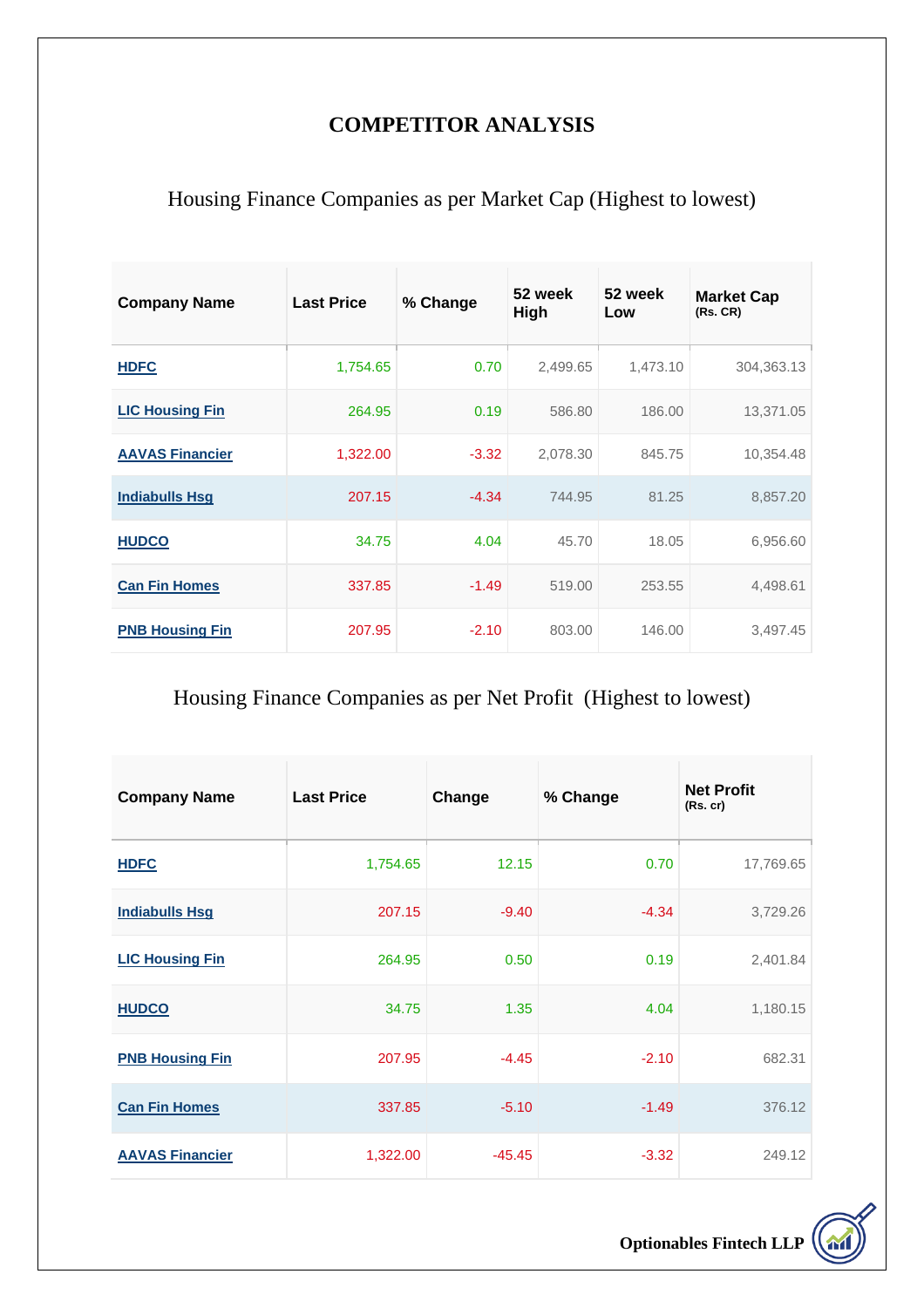### **COMPETITOR ANALYSIS**

## Housing Finance Companies as per Market Cap (Highest to lowest)

| <b>Company Name</b>    | <b>Last Price</b> | % Change | 52 week<br>High | 52 week<br>Low | <b>Market Cap</b><br>(Rs. CR) |
|------------------------|-------------------|----------|-----------------|----------------|-------------------------------|
| <b>HDFC</b>            | 1,754.65          | 0.70     | 2,499.65        | 1,473.10       | 304,363.13                    |
| <b>LIC Housing Fin</b> | 264.95            | 0.19     | 586.80          | 186.00         | 13,371.05                     |
| <b>AAVAS Financier</b> | 1,322.00          | $-3.32$  | 2,078.30        | 845.75         | 10,354.48                     |
| <b>Indiabulls Hsg</b>  | 207.15            | $-4.34$  | 744.95          | 81.25          | 8,857.20                      |
| <b>HUDCO</b>           | 34.75             | 4.04     | 45.70           | 18.05          | 6,956.60                      |
| <b>Can Fin Homes</b>   | 337.85            | $-1.49$  | 519.00          | 253.55         | 4,498.61                      |
| <b>PNB Housing Fin</b> | 207.95            | $-2.10$  | 803.00          | 146.00         | 3,497.45                      |

# Housing Finance Companies as per Net Profit (Highest to lowest)

| <b>Company Name</b>    | <b>Last Price</b> | Change   | % Change | <b>Net Profit</b><br>(Rs. cr) |
|------------------------|-------------------|----------|----------|-------------------------------|
| <b>HDFC</b>            | 1,754.65          | 12.15    | 0.70     | 17,769.65                     |
| <b>Indiabulls Hsg</b>  | 207.15            | $-9.40$  | $-4.34$  | 3,729.26                      |
| <b>LIC Housing Fin</b> | 264.95            | 0.50     | 0.19     | 2,401.84                      |
| <b>HUDCO</b>           | 34.75             | 1.35     | 4.04     | 1,180.15                      |
| <b>PNB Housing Fin</b> | 207.95            | $-4.45$  | $-2.10$  | 682.31                        |
| <b>Can Fin Homes</b>   | 337.85            | $-5.10$  | $-1.49$  | 376.12                        |
| <b>AAVAS Financier</b> | 1,322.00          | $-45.45$ | $-3.32$  | 249.12                        |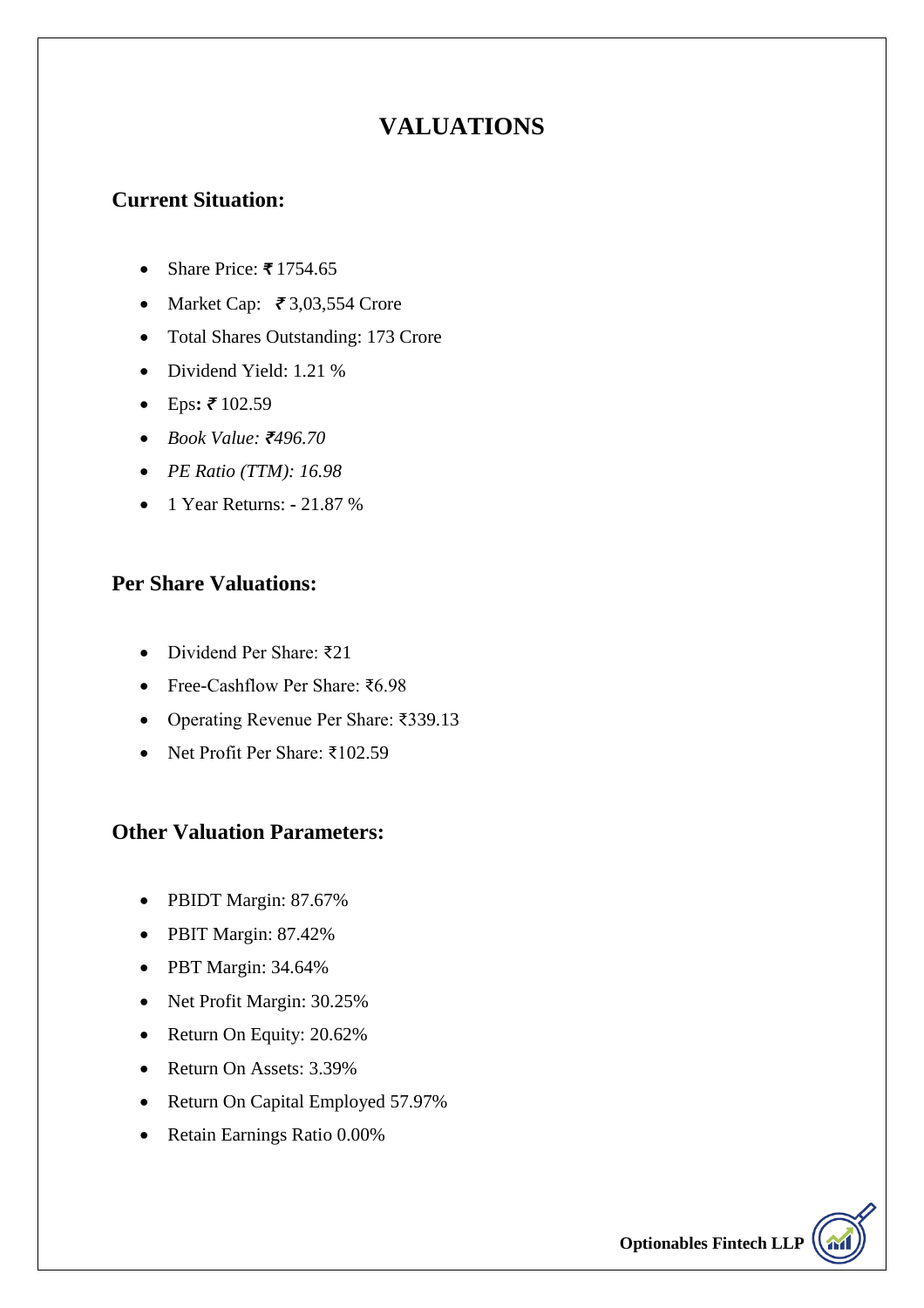### **VALUATIONS**

#### **Current Situation:**

- Share Price: *₹* 1754.65
- Market Cap: *₹* 3,03,554 Crore
- Total Shares Outstanding: 173 Crore
- Dividend Yield: 1.21 %
- Eps**:** *₹* 102.59
- *Book Value: ₹496.70*
- *PE Ratio (TTM): 16.98*
- 1 Year Returns: **-** 21.87 %

#### **Per Share Valuations:**

- Dividend Per Share: ₹21
- Free-Cashflow Per Share: ₹6.98
- Operating Revenue Per Share: ₹339.13
- Net Profit Per Share: ₹102.59

#### **Other Valuation Parameters:**

- PBIDT Margin: 87.67%
- PBIT Margin: 87.42%
- PBT Margin: 34.64%
- Net Profit Margin: 30.25%
- Return On Equity: 20.62%
- Return On Assets: 3.39%
- Return On Capital Employed 57.97%
- Retain Earnings Ratio 0.00%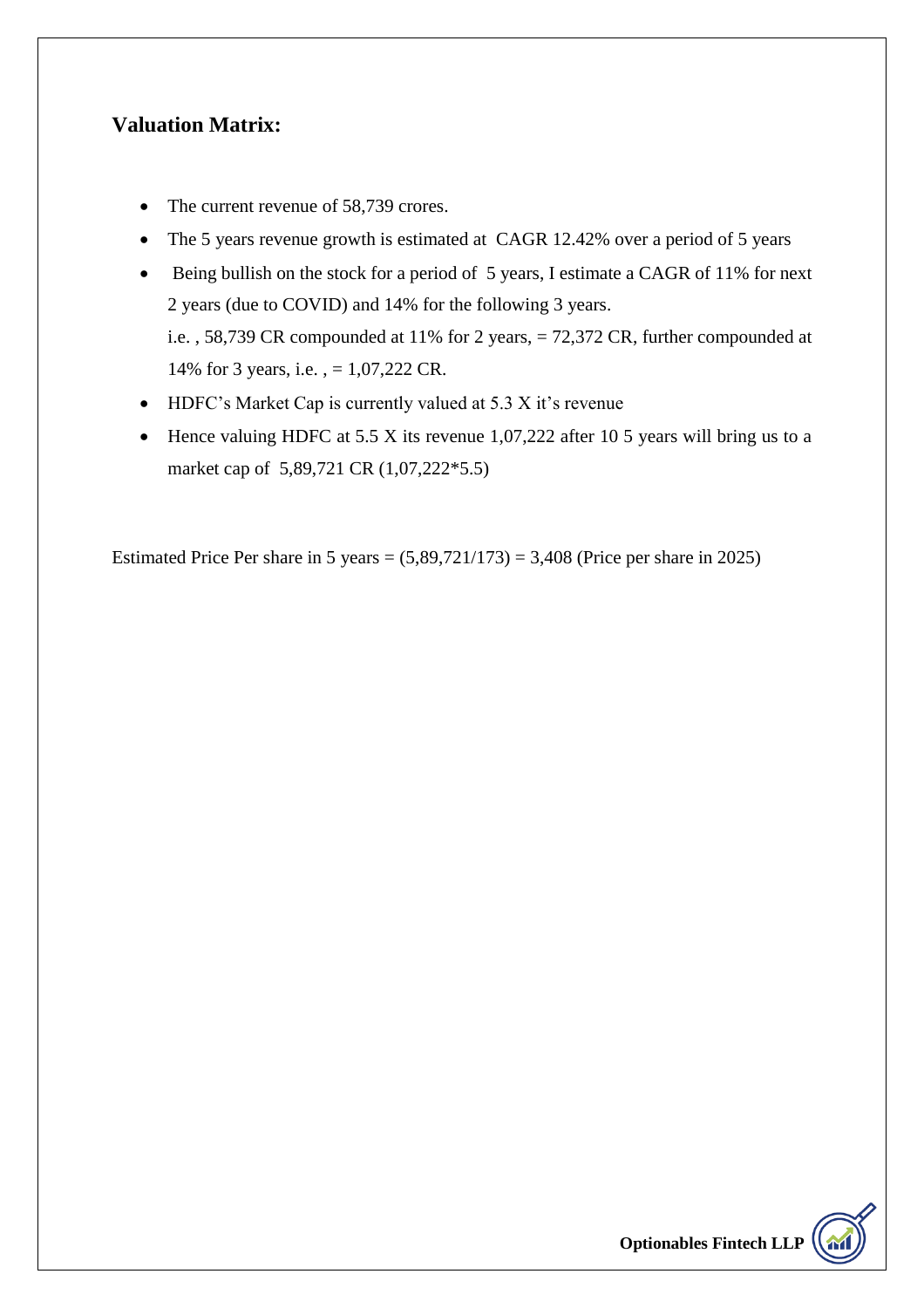#### **Valuation Matrix:**

- The current revenue of 58,739 crores.
- The 5 years revenue growth is estimated at CAGR 12.42% over a period of 5 years
- Being bullish on the stock for a period of 5 years, I estimate a CAGR of 11% for next 2 years (due to COVID) and 14% for the following 3 years. i.e. , 58,739 CR compounded at 11% for 2 years, = 72,372 CR, further compounded at 14% for 3 years, i.e. , = 1,07,222 CR.
- HDFC's Market Cap is currently valued at 5.3 X it's revenue
- $\bullet$  Hence valuing HDFC at 5.5 X its revenue 1,07,222 after 10 5 years will bring us to a market cap of 5,89,721 CR (1,07,222\*5.5)

Estimated Price Per share in 5 years =  $(5,89,721/173)$  = 3,408 (Price per share in 2025)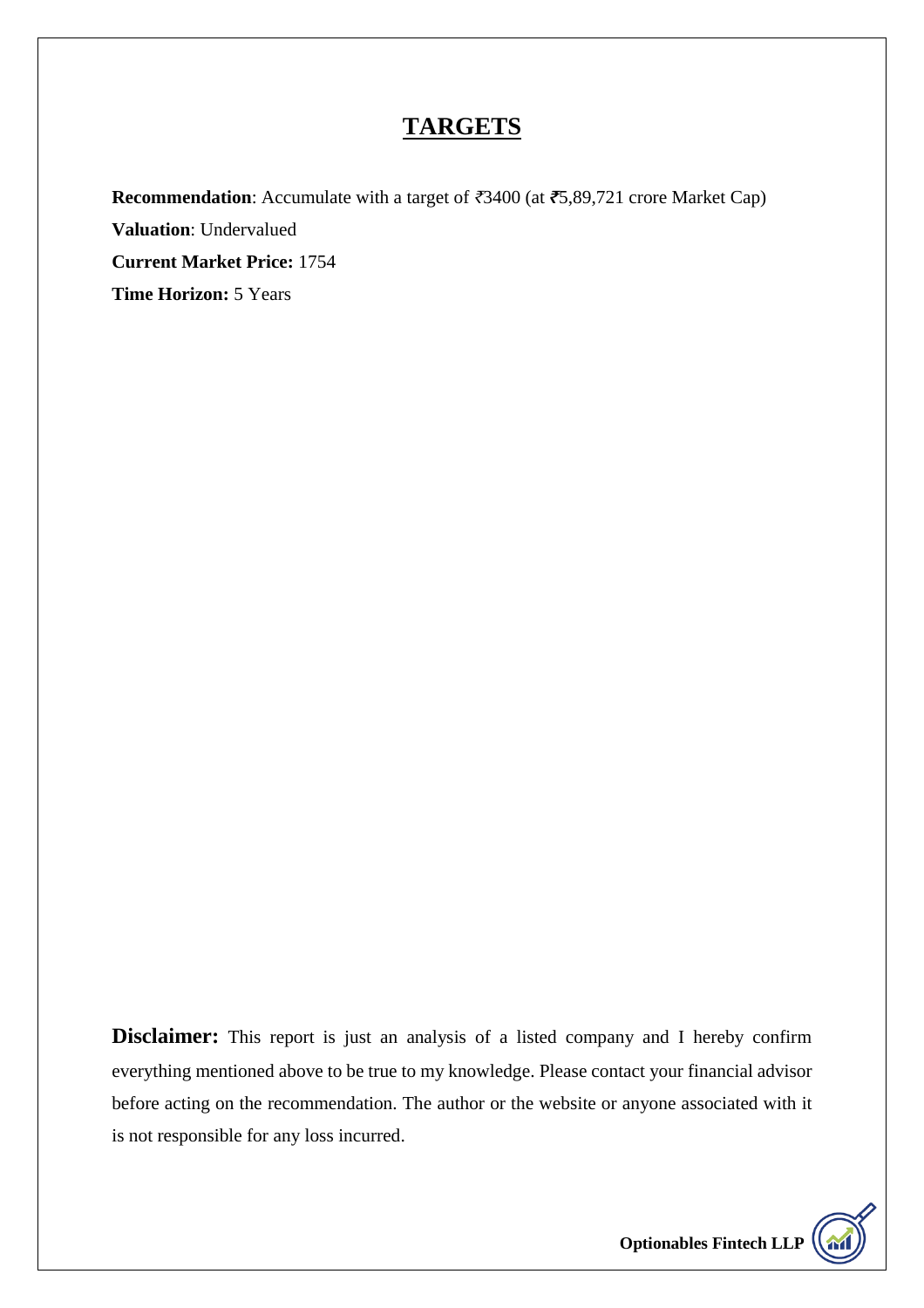# **TARGETS**

**Recommendation**: Accumulate with a target of *₹*3400 (at *₹*5,89,721 crore Market Cap) **Valuation**: Undervalued **Current Market Price:** 1754 **Time Horizon:** 5 Years

**Disclaimer:** This report is just an analysis of a listed company and I hereby confirm everything mentioned above to be true to my knowledge. Please contact your financial advisor before acting on the recommendation. The author or the website or anyone associated with it is not responsible for any loss incurred.